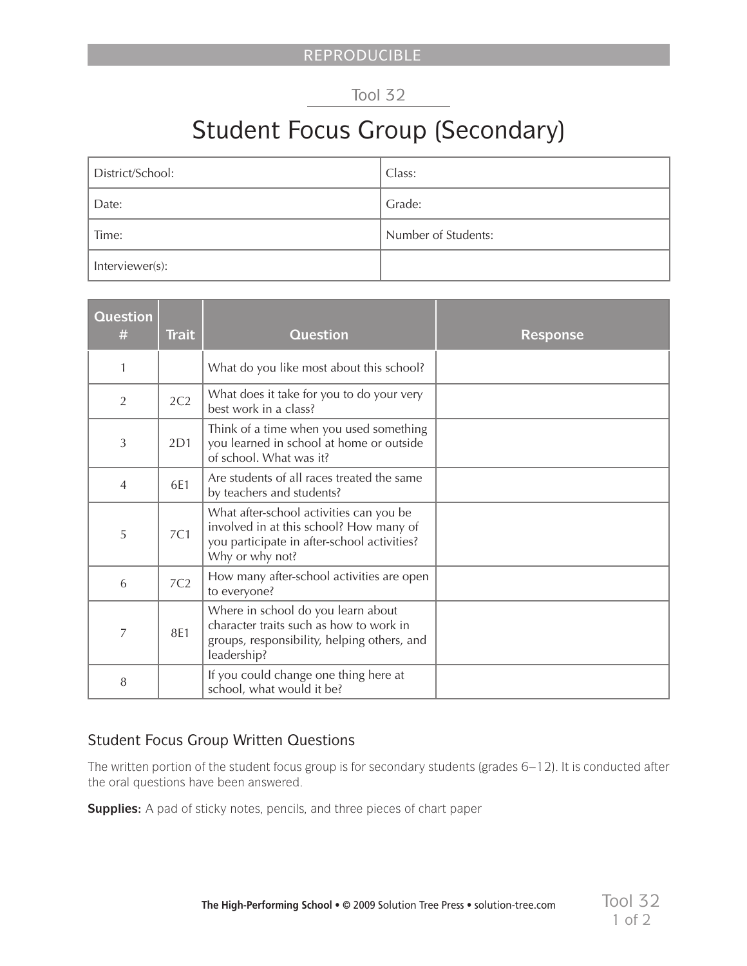## Tool 32

## Student Focus Group (Secondary)

| District/School: | Class:              |
|------------------|---------------------|
| Date:            | Grade:              |
| Time:            | Number of Students: |
| Interviewer(s):  |                     |

| Question<br>#  | <b>Trait</b>    | <b>Question</b>                                                                                                                                      | <b>Response</b> |
|----------------|-----------------|------------------------------------------------------------------------------------------------------------------------------------------------------|-----------------|
| 1              |                 | What do you like most about this school?                                                                                                             |                 |
| $\overline{2}$ | 2C2             | What does it take for you to do your very<br>best work in a class?                                                                                   |                 |
| 3              | 2D1             | Think of a time when you used something<br>you learned in school at home or outside<br>of school. What was it?                                       |                 |
| $\overline{4}$ | 6E1             | Are students of all races treated the same<br>by teachers and students?                                                                              |                 |
| 5              | 7C1             | What after-school activities can you be<br>involved in at this school? How many of<br>you participate in after-school activities?<br>Why or why not? |                 |
| 6              | 7C <sub>2</sub> | How many after-school activities are open<br>to everyone?                                                                                            |                 |
| 7              | 8E1             | Where in school do you learn about<br>character traits such as how to work in<br>groups, responsibility, helping others, and<br>leadership?          |                 |
| 8              |                 | If you could change one thing here at<br>school, what would it be?                                                                                   |                 |

## Student Focus Group Written Questions

The written portion of the student focus group is for secondary students (grades 6–12). It is conducted after the oral questions have been answered.

**Supplies:** A pad of sticky notes, pencils, and three pieces of chart paper